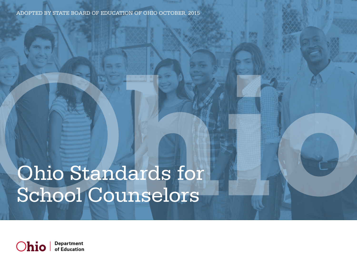Adopted by state board of education of ohio October, 2015

# Ohio Standards for School Counselors

**Department** Ohio of Education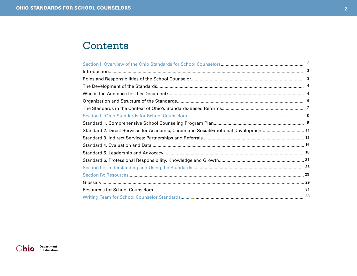### <span id="page-1-0"></span>Contents

|                                                                                      | 3 |
|--------------------------------------------------------------------------------------|---|
|                                                                                      | 3 |
|                                                                                      |   |
|                                                                                      |   |
|                                                                                      |   |
|                                                                                      |   |
|                                                                                      |   |
|                                                                                      |   |
|                                                                                      |   |
| Standard 2. Direct Services for Academic, Career and Social/Emotional Development 11 |   |
|                                                                                      |   |
|                                                                                      |   |
|                                                                                      |   |
|                                                                                      |   |
|                                                                                      |   |
|                                                                                      |   |
|                                                                                      |   |
|                                                                                      |   |
|                                                                                      |   |

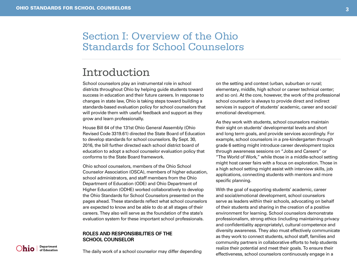**Department**<br>of Education

lhio l

### <span id="page-2-0"></span>Section I: Overview of the Ohio Standards for School Counselors

### Introduction

School counselors play an instrumental role in school districts throughout Ohio by helping guide students toward success in education and their future careers. In response to changes in state law, Ohio is taking steps toward building a standards-based evaluation policy for school counselors that will provide them with useful feedback and support as they grow and learn professionally.

House Bill 64 of the 131st Ohio General Assembly (Ohio Revised Code 3319.61) directed the State Board of Education to develop standards for school counselors. By Sept. 30, 2016, the bill further directed each school district board of education to adopt a school counselor evaluation policy that conforms to the State Board framework.

Ohio school counselors, members of the Ohio School Counselor Association (OSCA), members of higher education, school administrators, and staff members from the Ohio Department of Education (ODE) and Ohio Department of Higher Education (ODHE) worked collaboratively to develop the Ohio Standards for School Counselors presented on the pages ahead. These standards reflect what school counselors are expected to know and be able to do at all stages of their careers. They also will serve as the foundation of the state's evaluation system for these important school professionals.

#### **Roles and Responsibilities of the School Counselor**

The daily work of a school counselor may differ depending

on the setting and context (urban, suburban or rural; elementary, middle, high school or career technical center; and so on). At the core, however, the work of the professional school counselor is always to provide direct and indirect services in support of students' academic, career and social/ emotional development.

As they work with students, school counselors maintain their sight on students' developmental levels and short and long term goals, and provide services accordingly. For example, school counselors in a pre-kindergarten through grade 6 setting might introduce career development topics through awareness sessions on "Jobs and Careers" or "The World of Work," while those in a middle-school setting might host career fairs with a focus on exploration. Those in a high school setting might assist with interview skills, job applications, connecting students with mentors and more

specific planning.

With the goal of supporting students' academic, career and social/emotional development, school counselors serve as leaders within their schools, advocating on behalf of their students and sharing in the creation of a positive environment for learning. School counselors demonstrate professionalism, strong ethics (including maintaining privacy and confidentiality appropriately), cultural competence and diversity awareness. They also must effectively communicate as they work to connect students, school staff, families and community partners in collaborative efforts to help students realize their potential and meet their goals. To ensure their effectiveness, school counselors continuously engage in a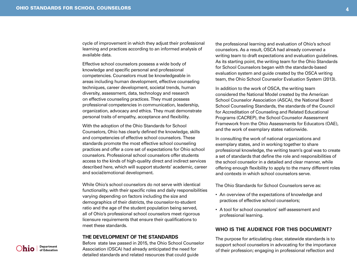<span id="page-3-0"></span>cycle of improvement in which they adjust their professional learning and practices according to an informed analysis of available data.

Effective school counselors possess a wide body of knowledge and specific personal and professional competencies. Counselors must be knowledgeable in areas including human development, effective counseling techniques, career development, societal trends, human diversity, assessment, data, technology and research on effective counseling practices. They must possess professional competencies in communication, leadership, organization, advocacy and ethics. They must demonstrate personal traits of empathy, acceptance and flexibility.

With the adoption of the Ohio Standards for School Counselors, Ohio has clearly defined the knowledge, skills and competencies of effective school counselors. These standards promote the most effective school counseling practices and offer a core set of expectations for Ohio school counselors. Professional school counselors offer students access to the kinds of high-quality direct and indirect services described here, which will support students' academic, career and social/emotional development.

While Ohio's school counselors do not serve with identical functionality, with their specific roles and daily responsibilities varying depending on factors including the size and demographics of their districts, the counselor-to-student ratio and the age of the student population being served, all of Ohio's professional school counselors meet rigorous licensure requirements that ensure their qualifications to meet these standards.

#### **The Development of the Standards**

Before state law passed in 2015, the Ohio School Counselor Association (OSCA) had already anticipated the need for detailed standards and related resources that could guide

the professional learning and evaluation of Ohio's school counselors. As a result, OSCA had already convened a writing team to draft expectations and evaluation guidelines. As its starting point, the writing team for the Ohio Standards for School Counselors began with the standards-based evaluation system and guide created by the OSCA writing team, the Ohio School Counselor Evaluation System (2013).

In addition to the work of OSCA, the writing team considered the National Model created by the American School Counselor Association (ASCA), the National Board School Counseling Standards, the standards of the Council for Accreditation of Counseling and Related Educational Programs (CACREP), the School Counselor Assessment Framework from the Ohio Assessments for Educators (OAE), and the work of exemplary states nationwide.

In consulting the work of national organizations and exemplary states, and in working together to share professional knowledge, the writing team's goal was to create a set of standards that define the role and responsibilities of the school counselor in a detailed and clear manner, while offering enough flexibility to apply to the many different roles and contexts in which school counselors serve.

The Ohio Standards for School Counselors serve as:

- An overview of the expectations of knowledge and practices of effective school counselors;
- A tool for school counselors' self-assessment and professional learning.

#### **Who is the Audience for this Document?**

The purpose for articulating clear, statewide standards is to support school counselors in advocating for the importance of their profession; engaging in professional reflection and

**Department**<br>of Education )hio l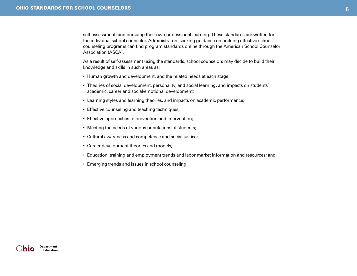self-assessment; and pursuing their own professional learning. These standards are written for the individual school counselor. Administrators seeking guidance on building effective school counseling programs can find program standards online through the American School Counselor Association (ASCA).

As a result of self-assessment using the standards, school counselors may decide to build their knowledge and skills in such areas as:

- Human growth and development, and the related needs at each stage;
- • Theories of social development, personality, and social learning, and impacts on students' academic, career and social/emotional development;
- • Learning styles and learning theories, and impacts on academic performance;
- Effective counseling and teaching techniques;
- Effective approaches to prevention and intervention;
- Meeting the needs of various populations of students;
- Cultural awareness and competence and social justice;
- Career-development theories and models;
- • Education, training and employment trends and labor market information and resources; and
- Emerging trends and issues in school counseling.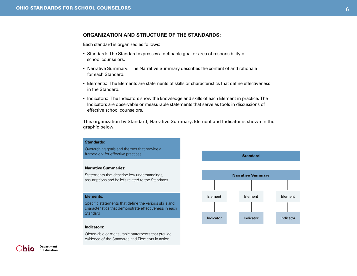#### <span id="page-5-0"></span>**Organization and Structure of the Standards:**

Each standard is organized as follows:

- Standard: The Standard expresses a definable goal or area of responsibility of school counselors.
- Narrative Summary: The Narrative Summary describes the content of and rationale for each Standard.
- • Elements: The Elements are statements of skills or characteristics that define effectiveness in the Standard.
- • Indicators: The Indicators show the knowledge and skills of each Element in practice. The Indicators are observable or measurable statements that serve as tools in discussions of effective school counselors.

This organization by Standard, Narrative Summary, Element and Indicator is shown in the graphic below:

### **Standards:**  Overarching goals and themes that provide a framework for effective practices **Narrative Summaries:** Statements that describe key understandings, assumptions and beliefs related to the Standards **Elements:**  Specific statements that define the various skills and characteristics that demonstrate effectiveness in each **Standard Indicators:**

Observable or measurable statements that provide evidence of the Standards and Elements in action



Department h10 l of Education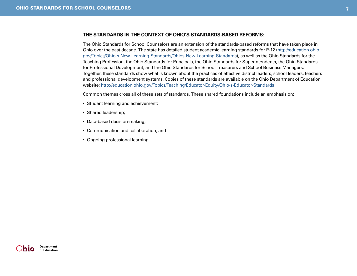#### <span id="page-6-0"></span>**The Standards in the Context of Ohio's Standards-Based Reforms:**

The Ohio Standards for School Counselors are an extension of the standards-based reforms that have taken place in Ohio over the past decade. The state has detailed student academic learning standards for P-12 ([http://education.ohio.](http://education.ohio.gov/Topics/Ohio-s-New-Learning-Standards/Ohios-New-Learning-Standards) [gov/Topics/Ohio-s-New-Learning-Standards/Ohios-New-Learning-Standards](http://education.ohio.gov/Topics/Ohio-s-New-Learning-Standards/Ohios-New-Learning-Standards)), as well as the Ohio Standards for the Teaching Profession, the Ohio Standards for Principals, the Ohio Standards for Superintendents, the Ohio Standards for Professional Development, and the Ohio Standards for School Treasurers and School Business Managers. Together, these standards show what is known about the practices of effective district leaders, school leaders, teachers and professional development systems. Copies of these standards are available on the Ohio Department of Education website:<http://education.ohio.gov/Topics/Teaching/Educator-Equity/Ohio-s-Educator-Standards>

Common themes cross all of these sets of standards. These shared foundations include an emphasis on:

- Student learning and achievement;
- Shared leadership;
- Data-based decision-making;
- • Communication and collaboration; and
- Ongoing professional learning.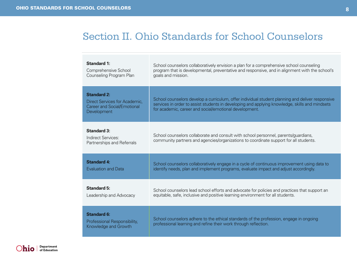### <span id="page-7-0"></span>Section II. Ohio Standards for School Counselors

| <b>Standard 1:</b>                                                                                       | School counselors collaboratively envision a plan for a comprehensive school counseling                                                                                                                                                                      |
|----------------------------------------------------------------------------------------------------------|--------------------------------------------------------------------------------------------------------------------------------------------------------------------------------------------------------------------------------------------------------------|
| Comprehensive School                                                                                     | program that is developmental, preventative and responsive, and in alignment with the school's                                                                                                                                                               |
| Counseling Program Plan                                                                                  | goals and mission.                                                                                                                                                                                                                                           |
| <b>Standard 2:</b><br>Direct Services for Academic,<br><b>Career and Social/Emotional</b><br>Development | School counselors develop a curriculum, offer individual student planning and deliver responsive<br>services in order to assist students in developing and applying knowledge, skills and mindsets<br>for academic, career and social/emotional development. |
| <b>Standard 3:</b><br>Indirect Services:<br>Partnerships and Referrals                                   | School counselors collaborate and consult with school personnel, parents/guardians,<br>community partners and agencies/organizations to coordinate support for all students.                                                                                 |
| <b>Standard 4:</b>                                                                                       | School counselors collaboratively engage in a cycle of continuous improvement using data to                                                                                                                                                                  |
| <b>Evaluation and Data</b>                                                                               | identify needs, plan and implement programs, evaluate impact and adjust accordingly.                                                                                                                                                                         |
| <b>Standard 5:</b>                                                                                       | School counselors lead school efforts and advocate for policies and practices that support an                                                                                                                                                                |
| Leadership and Advocacy                                                                                  | equitable, safe, inclusive and positive learning environment for all students.                                                                                                                                                                               |
| <b>Standard 6:</b><br>Professional Responsibility,<br>Knowledge and Growth                               | School counselors adhere to the ethical standards of the profession, engage in ongoing<br>professional learning and refine their work through reflection.                                                                                                    |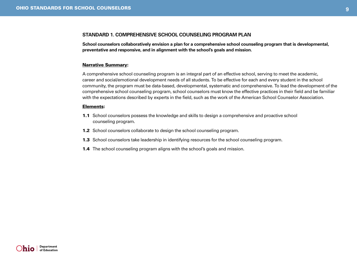#### <span id="page-8-0"></span>**Standard 1. Comprehensive School Counseling Program Plan**

**School counselors collaboratively envision a plan for a comprehensive school counseling program that is developmental, preventative and responsive, and in alignment with the school's goals and mission.**

#### Narrative Summary:

A comprehensive school counseling program is an integral part of an effective school, serving to meet the academic, career and social/emotional development needs of all students. To be effective for each and every student in the school community, the program must be data-based, developmental, systematic and comprehensive. To lead the development of the comprehensive school counseling program, school counselors must know the effective practices in their field and be familiar with the expectations described by experts in the field, such as the work of the American School Counselor Association.

#### Elements:

- 1.1 School counselors possess the knowledge and skills to design a comprehensive and proactive school counseling program.
- 1.2 School counselors collaborate to design the school counseling program.
- **1.3** School counselors take leadership in identifying resources for the school counseling program.
- **1.4** The school counseling program aligns with the school's goals and mission.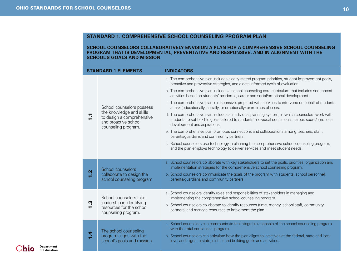**School counselors collaboratively envision a plan for a comprehensive school counseling program that is developmental, preventative and responsive, and in alignment with the school's goals and mission.**

|   | <b>STANDARD 1 ELEMENTS</b>                                                                                                        | <b>INDICATORS</b>                                                                                                                                                                                                                        |
|---|-----------------------------------------------------------------------------------------------------------------------------------|------------------------------------------------------------------------------------------------------------------------------------------------------------------------------------------------------------------------------------------|
|   |                                                                                                                                   | a. The comprehensive plan includes clearly stated program priorities, student improvement goals,<br>proactive and preventive strategies, and a data-informed cycle of evaluation.                                                        |
|   | School counselors possess<br>the knowledge and skills<br>to design a comprehensive<br>and proactive school<br>counseling program. | b. The comprehensive plan includes a school counseling core curriculum that includes sequenced<br>activities based on students' academic, career and social/emotional development.                                                       |
|   |                                                                                                                                   | c. The comprehensive plan is responsive, prepared with services to intervene on behalf of students<br>at risk (educationally, socially, or emotionally) or in times of crisis.                                                           |
|   |                                                                                                                                   | d. The comprehensive plan includes an individual planning system, in which counselors work with<br>students to set flexible goals tailored to students' individual educational, career, social/emotional<br>development and aspirations. |
|   |                                                                                                                                   | e. The comprehensive plan promotes connections and collaborations among teachers, staff,<br>parents/guardians and community partners.                                                                                                    |
|   |                                                                                                                                   | f. School counselors use technology in planning the comprehensive school counseling program,<br>and the plan employs technology to deliver services and meet student needs.                                                              |
|   |                                                                                                                                   | a. School counselors collaborate with key stakeholders to set the goals, priorities, organization and                                                                                                                                    |
| Ņ | School counselors<br>collaborate to design the<br>school counseling program.                                                      | implementation strategies for the comprehensive school counseling program.<br>b. School counselors communicate the goals of the program with students, school personnel,                                                                 |
|   |                                                                                                                                   | parents/guardians and community partners.                                                                                                                                                                                                |
|   | School counselors take                                                                                                            | a. School counselors identify roles and responsibilities of stakeholders in managing and<br>implementing the comprehensive school counseling program.                                                                                    |
| ო | leadership in identifying<br>resources for the school<br>counseling program.                                                      | b. School counselors collaborate to identify resources (time, money, school staff, community<br>partners) and manage resources to implement the plan.                                                                                    |
|   |                                                                                                                                   | a. School counselors can communicate the integral relationship of the school counseling program<br>with the total educational program.                                                                                                   |
|   | The school counseling<br>program aligns with the<br>school's goals and mission.                                                   | b. School counselors can articulate how the plan aligns to initiatives at the federal, state and local<br>level and aligns to state, district and building goals and activities.                                                         |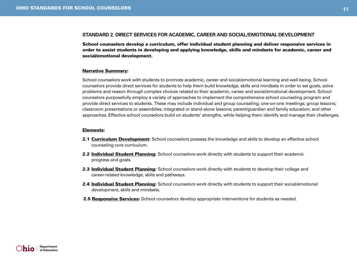#### <span id="page-10-0"></span>**Standard 2. Direct Services for Academic, Career and Social/Emotional Development**

School counselors develop a curriculum, offer individual student planning and deliver responsive services in order to assist students in developing and applying knowledge, skills and mindsets for academic, career and social/emotional development.

#### Narrative Summary:

School counselors work with students to promote academic, career and social/emotional learning and well-being. School counselors provide direct services for students to help them build knowledge, skills and mindsets in order to set goals, solve problems and reason through complex choices related to their academic, career and social/emotional development. School counselors purposefully employ a variety of approaches to implement the comprehensive school counseling program and provide direct services to students. These may include individual and group counseling; one-on-one meetings; group lessons; classroom presentations or assemblies; integrated or stand-alone lessons; parent/guardian and family education; and other approaches. Effective school counselors build on students' strengths, while helping them identify and manage their challenges.

#### Elements:

- 2.1 Curriculum Development: School counselors possess the knowledge and skills to develop an effective school counseling core curriculum.
- 2.2 Individual Student Planning: School counselors work directly with students to support their academic progress and goals.
- **2.3 Individual Student Planning:** School counselors work directly with students to develop their college and career-related knowledge, skills and pathways.
- **2.4 Individual Student Planning:** School counselors work directly with students to support their social/emotional development, skills and mindsets.
- 2.5 Responsive Services: School counselors develop appropriate interventions for students as needed.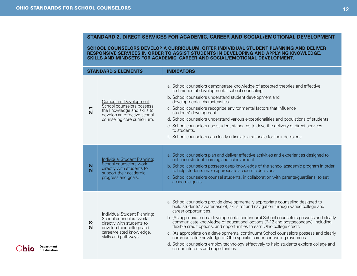#### **Standard 2. Direct Services for Academic, Career and Social/Emotional Development**

**School counselors develop a curriculum, offer individual student planning and deliver responsive services in order to assist students in developing and applying knowledge, skills and mindsets for academic, career and social/emotional development.**

|                  | <b>STANDARD 2 ELEMENTS</b>                                                                                                                                            | <b>INDICATORS</b>                                                                                                                                                                                                                                                                                                                                                                                                                                                                                                                                                                                                                                                                                                                                          |
|------------------|-----------------------------------------------------------------------------------------------------------------------------------------------------------------------|------------------------------------------------------------------------------------------------------------------------------------------------------------------------------------------------------------------------------------------------------------------------------------------------------------------------------------------------------------------------------------------------------------------------------------------------------------------------------------------------------------------------------------------------------------------------------------------------------------------------------------------------------------------------------------------------------------------------------------------------------------|
| 2.1              | Curriculum Development:<br>School counselors possess<br>the knowledge and skills to<br>develop an effective school<br>counseling core curriculum.                     | a. School counselors demonstrate knowledge of accepted theories and effective<br>techniques of developmental school counseling.<br>b. School counselors understand student development and<br>developmental characteristics.<br>c. School counselors recognize environmental factors that influence<br>students' development.<br>d. School counselors understand various exceptionalities and populations of students.<br>e. School counselors use student standards to drive the delivery of direct services<br>to students.<br>f. School counselors can clearly articulate a rationale for their decisions.                                                                                                                                              |
| 2.2              | Individual Student Planning:<br>School counselors work<br>directly with students to<br>support their academic<br>progress and goals.                                  | a. School counselors plan and deliver effective activities and experiences designed to<br>enhance student learning and achievement.<br>b. School counselors possess deep knowledge of the school academic program in order<br>to help students make appropriate academic decisions.<br>c. School counselors counsel students, in collaboration with parents/guardians, to set<br>academic goals.                                                                                                                                                                                                                                                                                                                                                           |
| $2.\overline{3}$ | Individual Student Planning:<br>School counselors work<br>directly with students to<br>develop their college and<br>career-related knowledge,<br>skills and pathways. | a. School counselors provide developmentally appropriate counseling designed to<br>build students' awareness of, skills for and navigation through varied college and<br>career opportunities.<br>b. (As appropriate on a developmental continuum) School counselors possess and clearly<br>communicate knowledge of educational options (P-12 and postsecondary), including<br>flexible credit options, and opportunities to earn Ohio college credit.<br>c. (As appropriate on a developmental continuum) School counselors possess and clearly<br>communicate knowledge of Ohio-specific career counseling resources.<br>d. School counselors employ technology effectively to help students explore college and<br>career interests and opportunities. |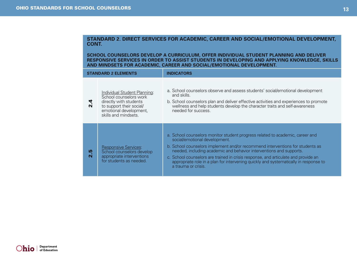#### **Standard 2. Direct Services for Academic, Career and Social/Emotional Development,**  CONT.

**School counselors develop a curriculum, offer individual student planning and deliver responsive services in order to assist students in developing and applying knowledge, skills and mindsets for academic, career and social/emotional development.**

|                                    | <b>STANDARD 2 ELEMENTS</b>                                                                                                                                            | <b>INDICATORS</b>                                                                                                                                                                                                                                                                                                                                                                                                                                                           |
|------------------------------------|-----------------------------------------------------------------------------------------------------------------------------------------------------------------------|-----------------------------------------------------------------------------------------------------------------------------------------------------------------------------------------------------------------------------------------------------------------------------------------------------------------------------------------------------------------------------------------------------------------------------------------------------------------------------|
| $\frac{4}{2}$                      | <u>Individual Student Planning:</u><br>School counselors work<br>directly with students<br>to support their social/<br>emotional development,<br>skills and mindsets. | a. School counselors observe and assess students' social/emotional development<br>and skills.<br>b. School counselors plan and deliver effective activities and experiences to promote<br>wellness and help students develop the character traits and self-awareness<br>needed for success.                                                                                                                                                                                 |
| <u>ุุุุุุ</u><br>$\mathbf{\Omega}$ | <b>Responsive Services:</b><br>School counselors develop<br>appropriate interventions<br>for students as needed.                                                      | a. School counselors monitor student progress related to academic, career and<br>social/emotional development.<br>b. School counselors implement and/or recommend interventions for students as<br>needed, including academic and behavior interventions and supports.<br>c. School counselors are trained in crisis response, and articulate and provide an<br>appropriate role in a plan for intervening quickly and systematically in response to<br>a trauma or crisis. |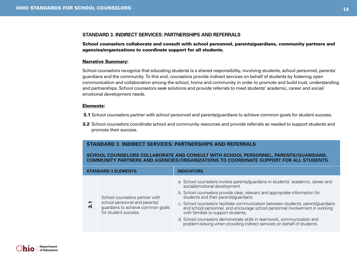#### <span id="page-13-0"></span>**Standard 3. Indirect Services: Partnerships and Referrals**

School counselors collaborate and consult with school personnel, parents/guardians, community partners and agencies/organizations to coordinate support for all students.

#### Narrative Summary:

School counselors recognize that educating students is a shared responsibility, involving students, school personnel, parents/ guardians and the community. To this end, counselors provide indirect services on behalf of students by fostering open communication and collaboration among the school, home and community in order to promote and build trust, understanding and partnerships. School counselors seek solutions and provide referrals to meet students' academic, career and social/ emotional development needs.

#### Elements:

- **3.1** School counselors partner with school personnel and parents/guardians to achieve common goals for student success.
- 3.2 School counselors coordinate school and community resources and provide referrals as needed to support students and promote their success.

#### **Standard 3. Indirect Services: Partnerships and Referrals**

#### **School counselors collaborate and consult with school personnel, parents/guardians, community partners and agencies/organizations to coordinate support for all students.**

|  | <b>STANDARD 3 ELEMENTS</b>                                                                                                                    | <b>INDICATORS</b>                                                                                                                                                                                     |
|--|-----------------------------------------------------------------------------------------------------------------------------------------------|-------------------------------------------------------------------------------------------------------------------------------------------------------------------------------------------------------|
|  |                                                                                                                                               | a. School counselors involve parents/guardians in students' academic, career and<br>social/emotional development.                                                                                     |
|  | School counselors partner with<br>school personnel and parents/<br><u>प</u><br>m<br>guardians to achieve common goals<br>for student success. | b. School counselors provide clear, relevant and appropriate information for<br>students and their parents/guardians.                                                                                 |
|  |                                                                                                                                               | c. School counselors facilitate communication between students, parent/guardians<br>and school personnel, and encourage school personnel involvement in working<br>with families to support students. |
|  |                                                                                                                                               | d. School counselors demonstrate skills in teamwork, communication and<br>problem-solving when providing indirect services on behalf of students.                                                     |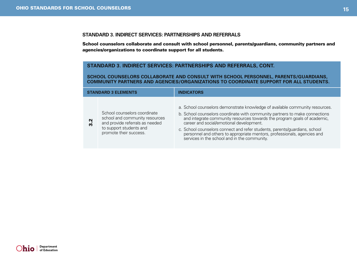#### **Standard 3. Indirect Services: Partnerships and Referrals**

School counselors collaborate and consult with school personnel, parents/guardians, community partners and agencies/organizations to coordinate support for all students.

#### **Standard 3. Indirect Services: Partnerships and Referrals, CONT.**

**School counselors collaborate and consult with school personnel, parents/guardians, community partners and agencies/organizations to coordinate support for all students.**

| <b>STANDARD 3 ELEMENTS</b> |                                                                                                                                                        | <b>INDICATORS</b>                                                                                                                                                                                                                                                                                                                                                                                                                                                                             |
|----------------------------|--------------------------------------------------------------------------------------------------------------------------------------------------------|-----------------------------------------------------------------------------------------------------------------------------------------------------------------------------------------------------------------------------------------------------------------------------------------------------------------------------------------------------------------------------------------------------------------------------------------------------------------------------------------------|
| 3.2                        | School counselors coordinate<br>school and community resources<br>and provide referrals as needed<br>to support students and<br>promote their success. | a. School counselors demonstrate knowledge of available community resources.<br>b. School counselors coordinate with community partners to make connections<br>and integrate community resources towards the program goals of academic,<br>career and social/emotional development.<br>c. School counselors connect and refer students, parents/guardians, school<br>personnel and others to appropriate mentors, professionals, agencies and<br>services in the school and in the community. |

Ohio | Department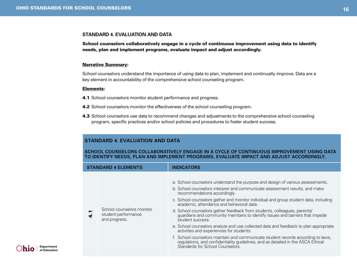#### <span id="page-15-0"></span>**Standard 4. Evaluation and Data**

School counselors collaboratively engage in a cycle of continuous improvement using data to identify needs, plan and implement programs, evaluate impact and adjust accordingly.

#### Narrative Summary:

School counselors understand the importance of using data to plan, implement and continually improve. Data are a key element in accountability of the comprehensive school counseling program.

#### Elements:

- 4.1 School counselors monitor student performance and progress.
- 4.2 School counselors monitor the effectiveness of the school counseling program.
- 4.3 School counselors use data to recommend changes and adjustments to the comprehensive school counseling program, specific practices and/or school policies and procedures to foster student success.

#### **Standard 4. Evaluation and Data**

**School counselors collaboratively engage in a cycle of continuous improvement using data to identify needs, plan and implement programs, evaluate impact and adjust accordingly.** 

| <b>STANDARD 4 ELEMENTS</b> |                                                                   | <b>INDICATORS</b>                                                                                                                                                                                                                                                                                                                                                                                                                                                                                                                                                                                                                                                                                                                                                                                                                                                 |
|----------------------------|-------------------------------------------------------------------|-------------------------------------------------------------------------------------------------------------------------------------------------------------------------------------------------------------------------------------------------------------------------------------------------------------------------------------------------------------------------------------------------------------------------------------------------------------------------------------------------------------------------------------------------------------------------------------------------------------------------------------------------------------------------------------------------------------------------------------------------------------------------------------------------------------------------------------------------------------------|
|                            | School counselors monitor<br>student performance<br>and progress. | a. School counselors understand the purpose and design of various assessments.<br>b. School counselors interpret and communicate assessment results, and make<br>recommendations accordingly.<br>c. School counselors gather and monitor individual and group student data, including<br>academic, attendance and behavioral data.<br>d. School counselors gather feedback from students, colleagues, parents/<br>guardians and community members to identify issues and barriers that impede<br>student success.<br>e. School counselors analyze and use collected data and feedback to plan appropriate<br>activities and experiences for students.<br>f. School counselors maintain and communicate student records according to laws,<br>regulations, and confidentiality guidelines, and as detailed in the ASCA Ethical<br>Standards for School Counselors. |

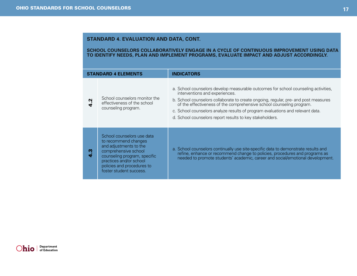#### **Standard 4. Evaluation and Data, cont.**

**School counselors collaboratively engage in a cycle of continuous improvement using data to identify needs, plan and implement programs, evaluate impact and adjust accordingly.** 

|   | <b>STANDARD 4 ELEMENTS</b>                                                                                                                                                                                               | <b>INDICATORS</b>                                                                                                                                                                                                                                                                                                                                                                                                                 |
|---|--------------------------------------------------------------------------------------------------------------------------------------------------------------------------------------------------------------------------|-----------------------------------------------------------------------------------------------------------------------------------------------------------------------------------------------------------------------------------------------------------------------------------------------------------------------------------------------------------------------------------------------------------------------------------|
|   | School counselors monitor the<br>effectiveness of the school<br>counseling program.                                                                                                                                      | a. School counselors develop measurable outcomes for school counseling activities,<br>interventions and experiences.<br>b. School counselors collaborate to create ongoing, regular, pre- and post measures<br>of the effectiveness of the comprehensive school counseling program.<br>c. School counselors analyze results of program evaluations and relevant data.<br>d. School counselors report results to key stakeholders. |
| w | School counselors use data<br>to recommend changes<br>and adjustments to the<br>comprehensive school<br>counseling program, specific<br>practices and/or school<br>policies and procedures to<br>foster student success. | a. School counselors continually use site-specific data to demonstrate results and<br>refine, enhance or recommend change to policies, procedures and programs as<br>needed to promote students' academic, career and social/emotional development.                                                                                                                                                                               |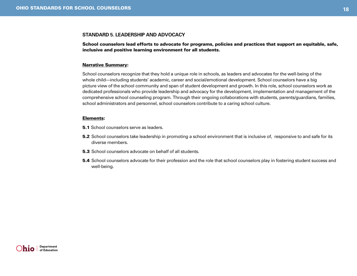#### <span id="page-17-0"></span>**Standard 5. Leadership and Advocacy**

School counselors lead efforts to advocate for programs, policies and practices that support an equitable, safe, inclusive and positive learning environment for all students.

#### Narrative Summary:

School counselors recognize that they hold a unique role in schools, as leaders and advocates for the well-being of the whole child—including students' academic, career and social/emotional development. School counselors have a big picture view of the school community and span of student development and growth. In this role, school counselors work as dedicated professionals who provide leadership and advocacy for the development, implementation and management of the comprehensive school counseling program. Through their ongoing collaborations with students, parents/guardians, families, school administrators and personnel, school counselors contribute to a caring school culture.

#### Elements:

- **5.1** School counselors serve as leaders.
- **5.2** School counselors take leadership in promoting a school environment that is inclusive of, responsive to and safe for its diverse members.
- 5.3 School counselors advocate on behalf of all students.
- 5.4 School counselors advocate for their profession and the role that school counselors play in fostering student success and well-being.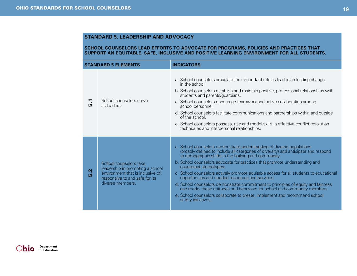#### **Standard 5. Leadership and Advocacy**

#### **School counselors lead efforts to advocate for programs, policies and practices that support an equitable, safe, inclusive and positive learning environment for all students.**

|          | <b>STANDARD 5 ELEMENTS</b>                                                                                                                            | <b>INDICATORS</b>                                                                                                                                                                                                                                                                                                                                                                                                                                                                                                                                                                                                                                                                                                                                 |
|----------|-------------------------------------------------------------------------------------------------------------------------------------------------------|---------------------------------------------------------------------------------------------------------------------------------------------------------------------------------------------------------------------------------------------------------------------------------------------------------------------------------------------------------------------------------------------------------------------------------------------------------------------------------------------------------------------------------------------------------------------------------------------------------------------------------------------------------------------------------------------------------------------------------------------------|
| Γ.<br>מו | School counselors serve<br>as leaders.                                                                                                                | a. School counselors articulate their important role as leaders in leading change<br>in the school.<br>b. School counselors establish and maintain positive, professional relationships with<br>students and parents/guardians.<br>c. School counselors encourage teamwork and active collaboration among<br>school personnel.<br>d. School counselors facilitate communications and partnerships within and outside<br>of the school.<br>e. School counselors possess, use and model skills in effective conflict resolution<br>techniques and interpersonal relationships.                                                                                                                                                                      |
| 5.2      | School counselors take<br>leadership in promoting a school<br>environment that is inclusive of,<br>responsive to and safe for its<br>diverse members. | a. School counselors demonstrate understanding of diverse populations<br>(broadly defined to include all categories of diversity) and anticipate and respond<br>to demographic shifts in the building and community.<br>b. School counselors advocate for practices that promote understanding and<br>counteract stereotypes.<br>c. School counselors actively promote equitable access for all students to educational<br>opportunities and needed resources and services.<br>d. School counselors demonstrate commitment to principles of equity and fairness<br>and model these attitudes and behaviors for school and community members.<br>e. School counselors collaborate to create, implement and recommend school<br>safety initiatives. |

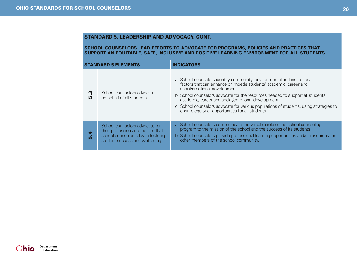#### **Standard 5. Leadership and Advocacy, CONT.**

#### **School counselors lead efforts to advocate for programs, policies and practices that support an equitable, safe, inclusive and positive learning environment for all students.**

|                | <b>STANDARD 5 ELEMENTS</b>                                                                                                                     | <b>INDICATORS</b>                                                                                                                                                                                                                                                                                                                                                                                                                                                     |
|----------------|------------------------------------------------------------------------------------------------------------------------------------------------|-----------------------------------------------------------------------------------------------------------------------------------------------------------------------------------------------------------------------------------------------------------------------------------------------------------------------------------------------------------------------------------------------------------------------------------------------------------------------|
| ကု<br>ம        | School counselors advocate<br>on behalf of all students.                                                                                       | a. School counselors identify community, environmental and institutional<br>factors that can enhance or impede students' academic, career and<br>social/emotional development.<br>b. School counselors advocate for the resources needed to support all students'<br>academic, career and social/emotional development.<br>c. School counselors advocate for various populations of students, using strategies to<br>ensure equity of opportunities for all students. |
| 4<br><b>LO</b> | School counselors advocate for<br>their profession and the role that<br>school counselors play in fostering<br>student success and well-being. | a. School counselors communicate the valuable role of the school counseling<br>program to the mission of the school and the success of its students.<br>b. School counselors provide professional learning opportunities and/or resources for<br>other members of the school community.                                                                                                                                                                               |

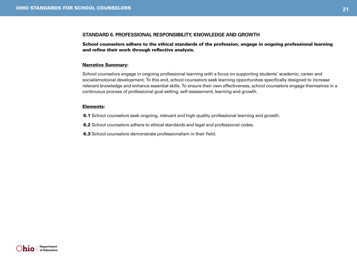#### <span id="page-20-0"></span>**Standard 6. Professional Responsibility, Knowledge and Growth**

School counselors adhere to the ethical standards of the profession, engage in ongoing professional learning and refine their work through reflective analysis.

#### Narrative Summary:

School counselors engage in ongoing professional learning with a focus on supporting students' academic, career and social/emotional development. To this end, school counselors seek learning opportunities specifically designed to increase relevant knowledge and enhance essential skills. To ensure their own effectiveness, school counselors engage themselves in a continuous process of professional goal setting, self-assessment, learning and growth.

#### Elements:

6.1 School counselors seek ongoing, relevant and high-quality professional learning and growth.

6.2 School counselors adhere to ethical standards and legal and professional codes.

6.3 School counselors demonstrate professionalism in their field.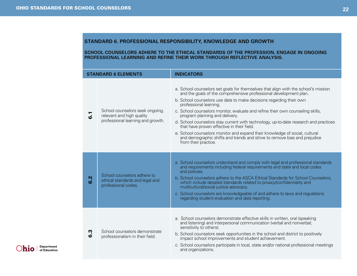#### **Standard 6. Professional Responsibility, Knowledge and Growth**

#### **School counselors adhere to the ethical standards of the profession, engage in ongoing professional learning and refine their work through reflective analysis.**

|               | <b>STANDARD 6 ELEMENTS</b>                                                                        | <b>INDICATORS</b>                                                                                                                                                                                                                                                                                                                                                                                                                                                                                                                                                                                                                                                                                      |
|---------------|---------------------------------------------------------------------------------------------------|--------------------------------------------------------------------------------------------------------------------------------------------------------------------------------------------------------------------------------------------------------------------------------------------------------------------------------------------------------------------------------------------------------------------------------------------------------------------------------------------------------------------------------------------------------------------------------------------------------------------------------------------------------------------------------------------------------|
| ဖ             | School counselors seek ongoing,<br>relevant and high quality<br>professional learning and growth. | a. School counselors set goals for themselves that align with the school's mission<br>and the goals of the comprehensive professional development plan.<br>b. School counselors use data to make decisions regarding their own<br>professional learning.<br>c. School counselors monitor, evaluate and refine their own counseling skills,<br>program planning and delivery.<br>d. School counselors stay current with technology, up-to-date research and practices<br>that have proven effective in their field.<br>e. School counselors monitor and expand their knowledge of social, cultural<br>and demographic shifts and trends and strive to remove bias and prejudice<br>from their practice. |
| Ņ<br><u>ය</u> | School counselors adhere to<br>ethical standards and legal and<br>professional codes.             | a. School counselors understand and comply with legal and professional standards<br>and requirements including federal requirements and state and local codes<br>and policies.<br>b. School counselors adhere to the ASCA Ethical Standards for School Counselors,<br>which include detailed standards related to privacy/confidentiality and<br>multicultural/social justice advocacy.<br>c. School counselors are knowledgeable of and adhere to laws and regulations<br>regarding student evaluation and data reporting.                                                                                                                                                                            |
| Ŵ<br>ဖ        | School counselors demonstrate<br>professionalism in their field.                                  | a. School counselors demonstrate effective skills in written, oral (speaking<br>and listening) and interpersonal communication (verbal and nonverbal;<br>sensitivity to others).<br>b. School counselors seek opportunities in the school and district to positively<br>impact school improvements and student achievement.<br>c. School counselors participate in local, state and/or national professional meetings<br>and organizations.                                                                                                                                                                                                                                                            |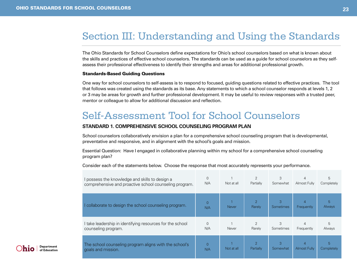### <span id="page-22-0"></span>Section III: Understanding and Using the Standards

The Ohio Standards for School Counselors define expectations for Ohio's school counselors based on what is known about the skills and practices of effective school counselors. The standards can be used as a guide for school counselors as they selfassess their professional effectiveness to identify their strengths and areas for additional professional growth.

#### Standards-Based Guiding Questions

One way for school counselors to self-assess is to respond to focused, guiding questions related to effective practices. The tool that follows was created using the standards as its base. Any statements to which a school counselor responds at levels 1, 2 or 3 may be areas for growth and further professional development. It may be useful to review responses with a trusted peer, mentor or colleague to allow for additional discussion and reflection.

### Self-Assessment Tool for School Counselors

#### **Standard 1. Comprehensive School Counseling Program Plan**

School counselors collaboratively envision a plan for a comprehensive school counseling program that is developmental, preventative and responsive, and in alignment with the school's goals and mission.

Essential Question: Have I engaged in collaborative planning within my school for a comprehensive school counseling program plan?

| I possess the knowledge and skills to design a                               | $\overline{0}$        | Not at all   | $\overline{2}$                        | 3                     | $\overline{4}$      | 5                  |
|------------------------------------------------------------------------------|-----------------------|--------------|---------------------------------------|-----------------------|---------------------|--------------------|
| comprehensive and proactive school counseling program.                       | N/A                   |              | Partially                             | Somewhat              | Almost Fully        | Completely         |
| I collaborate to design the school counseling program.                       | $\Omega$<br>N/A       | <b>Never</b> | $\mathcal{P}$<br>Rarely               | 3<br><b>Sometimes</b> | 4<br>Frequently     | 5<br><b>Always</b> |
| I take leadership in identifying resources for the school                    | $\mathbf{0}$          | Never        | $\overline{2}$                        | 3                     | $\overline{4}$      | 5                  |
| counseling program.                                                          | N/A                   |              | Rarely                                | Sometimes             | Frequently          | Always             |
| The school counseling program aligns with the school's<br>goals and mission. | $\overline{0}$<br>N/A | Not at all   | $\overline{\mathcal{L}}$<br>Partially | 3<br>Somewhat         | <b>Almost Fully</b> | 5<br>Completely    |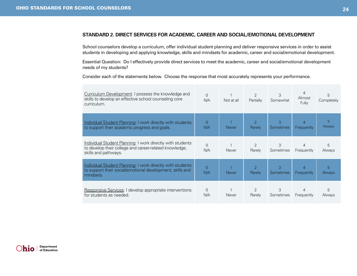#### **Standard 2. Direct Services for Academic, Career and Social/Emotional Development**

School counselors develop a curriculum, offer individual student planning and deliver responsive services in order to assist students in developing and applying knowledge, skills and mindsets for academic, career and social/emotional development.

Essential Question: Do I effectively provide direct services to meet the academic, career and social/emotional development needs of my students?

| Curriculum Development: I possess the knowledge and<br>skills to develop an effective school counseling core<br>curriculum.                  | $\Omega$<br>N/A | Not at all   | $\overline{2}$<br>Partially | 3<br>Somewhat  | 4<br>Almost<br>Fully | 5<br>Completely    |
|----------------------------------------------------------------------------------------------------------------------------------------------|-----------------|--------------|-----------------------------|----------------|----------------------|--------------------|
| Individual Student Planning: I work directly with students<br>to support their academic progress and goals.                                  | $\Omega$<br>N/A | <b>Never</b> | $\overline{2}$<br>Rarely    | 3<br>Sometimes | Frequently           | 5<br>Always        |
| Individual Student Planning: I work directly with students<br>to develop their college and career-related knowledge,<br>skills and pathways. | $\Omega$<br>N/A | Never        | 2<br>Rarely                 | 3<br>Sometimes | Frequently           | 5<br>Always        |
| Individual Student Planning: I work directly with students<br>to support their social/emotional development, skills and<br>mindsets.         | 0<br>N/A        | <b>Never</b> | $\overline{2}$<br>Rarely    | 3<br>Sometimes | 4<br>Frequently      | 5<br><b>Always</b> |
| Responsive Services: I develop appropriate interventions<br>for students as needed.                                                          | $\Omega$<br>N/A | Never        | 2<br>Rarely                 | 3<br>Sometimes | Frequently           | 5<br>Always        |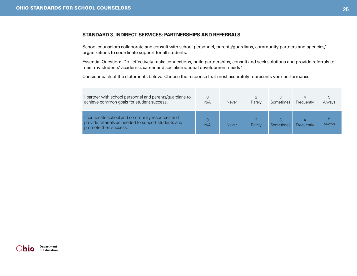#### **Standard 3. Indirect Services: Partnerships and Referrals**

School counselors collaborate and consult with school personnel, parents/guardians, community partners and agencies/ organizations to coordinate support for all students.

Essential Question: Do I effectively make connections, build partnerships, consult and seek solutions and provide referrals to meet my students' academic, career and social/emotional development needs?

| I partner with school personnel and parents/guardians to<br>achieve common goals for student success.                            | N/A | Never        | Rarely | Sometimes | Frequently | 5<br>Always |
|----------------------------------------------------------------------------------------------------------------------------------|-----|--------------|--------|-----------|------------|-------------|
| I coordinate school and community resources and<br>provide referrals as needed to support students and<br>promote their success. | N/A | <b>Never</b> | Rarely | Sometimes | Frequently | Always      |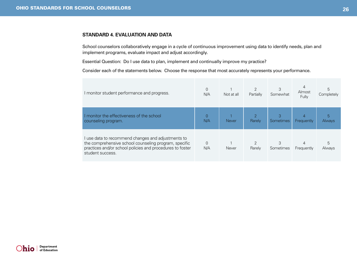#### **Standard 4. Evaluation and Data**

School counselors collaboratively engage in a cycle of continuous improvement using data to identify needs, plan and implement programs, evaluate impact and adjust accordingly.

Essential Question: Do I use data to plan, implement and continually improve my practice?

| I monitor student performance and progress.                                                                                                                                                  | N/A             | Not at all   | Partially | 3<br>Somewhat  | Almost<br>Fully | 5<br>Completely |
|----------------------------------------------------------------------------------------------------------------------------------------------------------------------------------------------|-----------------|--------------|-----------|----------------|-----------------|-----------------|
| I monitor the effectiveness of the school<br>counseling program.                                                                                                                             | N/A             | <b>Never</b> | Rarely    | 3<br>Sometimes | Frequently      | 5<br>Always     |
| I use data to recommend changes and adjustments to<br>the comprehensive school counseling program, specific<br>practices and/or school policies and procedures to foster<br>student success. | $\Omega$<br>N/A | Never        | Rarely    | 3<br>Sometimes | Frequently      | 5<br>Always     |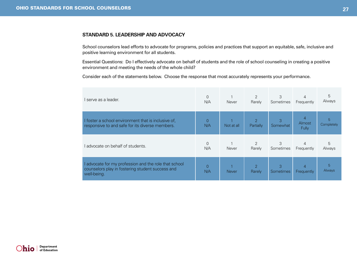#### **Standard 5. Leadership and Advocacy**

School counselors lead efforts to advocate for programs, policies and practices that support an equitable, safe, inclusive and positive learning environment for all students.

Essential Questions: Do I effectively advocate on behalf of students and the role of school counseling in creating a positive environment and meeting the needs of the whole child?

| l serve as a leader.                                                                                                     | 0<br>N/A              | Never        | $\overline{2}$<br>Rarely   | 3<br>Sometimes | $\overline{4}$<br>Frequently      | 5<br>Always     |
|--------------------------------------------------------------------------------------------------------------------------|-----------------------|--------------|----------------------------|----------------|-----------------------------------|-----------------|
| I foster a school environment that is inclusive of,<br>responsive to and safe for its diverse members.                   | $\overline{0}$<br>N/A | Not at all   | $\mathcal{P}$<br>Partially | 3<br>Somewhat  | $\overline{4}$<br>Almost<br>Fully | 5<br>Completely |
| l advocate on behalf of students.                                                                                        | $\Omega$<br>N/A       | Never        | 2<br>Rarely                | 3<br>Sometimes | $\overline{4}$<br>Frequently      | 5<br>Always     |
| I advocate for my profession and the role that school<br>counselors play in fostering student success and<br>well-being. | $\Omega$<br>N/A       | <b>Never</b> | $\overline{2}$<br>Rarely   | 3<br>Sometimes | 4<br>Frequently                   | 5<br>Always     |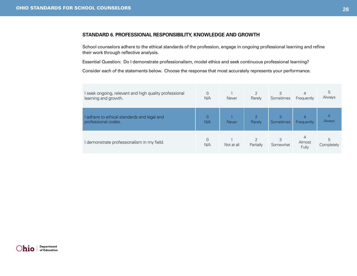#### **Standard 6. Professional Responsibility, Knowledge and Growth**

School counselors adhere to the ethical standards of the profession, engage in ongoing professional learning and refine their work through reflective analysis.

Essential Question: Do I demonstrate professionalism, model ethics and seek continuous professional learning?

| I seek ongoing, relevant and high quality professional<br>learning and growth. | 0<br>N/A | Never        | $\overline{2}$<br>Rarely   | 3<br>Sometimes | 4<br>Frequently      | 5<br>Always     |
|--------------------------------------------------------------------------------|----------|--------------|----------------------------|----------------|----------------------|-----------------|
| I adhere to ethical standards and legal and<br>professional codes.             | N/A      | <b>Never</b> | $\mathcal{D}$<br>Rarely    | 3<br>Sometimes | 4<br>Frequently      | 5<br>Always     |
| I demonstrate professionalism in my field.                                     | N/A      | Not at all   | $\mathcal{D}$<br>Partially | 3<br>Somewhat  | 4<br>Almost<br>Fully | 5<br>Completely |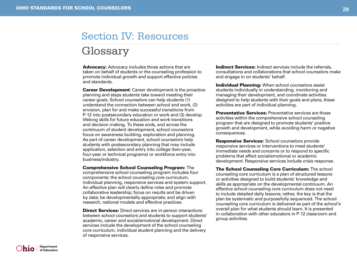## <span id="page-28-0"></span>Section IV: Resources

### Glossary

Advocacy: Advocacy includes those actions that are taken on behalf of students or the counseling profession to promote individual growth and support effective policies and standards.

**Career Development:** Career development is the proactive planning and steps students take toward meeting their career goals. School counselors can help students (1) understand the connection between school and work, (2) envision, plan for and make successful transitions from P-12 into postsecondary education or work and (3) develop lifelong skills for future education and work transitions and decision making. To these ends, and across the continuum of student development, school counselors focus on awareness building, exploration and planning. As part of career development, school counselors help students with postsecondary planning that may include application, selection and entry into college (two-year, four-year or technical programs) or workforce entry into business/industry.

Comprehensive School Counseling Program: The comprehensive school counseling program includes four components: the school counseling core curriculum, individual planning, responsive services and system support. An effective plan will clearly define roles and promote collaborative leadership; focus on results and be driven by data; be developmentally appropriate; and align with research, national models and effective practices.

**Direct Services:** Direct services are in-person interactions between school counselors and students to support students' academic, career and social/emotional development. Direct services include the development of the school counseling core curriculum, individual student planning and the delivery of responsive services.

Indirect Services: Indirect services include the referrals. consultations and collaborations that school counselors make and engage in on students' behalf.

**Individual Planning:** When school counselors assist students individually in understanding, monitoring and managing their development, and coordinate activities designed to help students with their goals and plans, these activities are part of individual planning.

**Preventative Services:** Preventative services are those activities within the comprehensive school counseling program that are designed to promote students' positive growth and development, while avoiding harm or negative consequences.

**Responsive Services:** School counselors provide responsive services or interventions to meet students' immediate needs and concerns or to respond to specific problems that affect social/emotional or academic development. Responsive services include crisis response.

The School Counseling Core Curriculum: The school counseling core curriculum is a plan of structured lessons or activities designed to build students' knowledge and skills as appropriate on the developmental continuum. An effective school counseling core curriculum does not need to include detailed daily lessons; rather, the key is that the plan be systematic and purposefully sequenced. The school counseling core curriculum is delivered as part of the school's overall plan for what students should learn. It is presented in collaboration with other educators in P-12 classroom and group activities.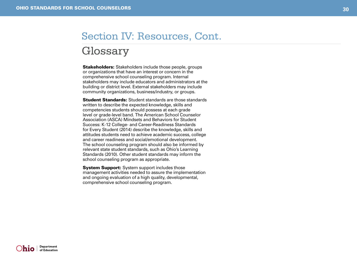### Glossary Section IV: Resources, Cont.

Stakeholders: Stakeholders include those people, groups or organizations that have an interest or concern in the comprehensive school counseling program. Internal stakeholders may include educators and administrators at the building or district level. External stakeholders may include community organizations, business/industry, or groups.

**Student Standards:** Student standards are those standards written to describe the expected knowledge, skills and competencies students should possess at each grade level or grade-level band. The American School Counselor Association (ASCA) Mindsets and Behaviors for Student Success: K-12 College- and Career-Readiness Standards for Every Student (2014) describe the knowledge, skills and attitudes students need to achieve academic success, college and career readiness and social/emotional development. The school counseling program should also be informed by relevant state student standards, such as Ohio's Learning Standards (2010). Other student standards may inform the school counseling program as appropriate.

**System Support:** System support includes those management activities needed to assure the implementation and ongoing evaluation of a high quality, developmental, comprehensive school counseling program.

**Department**<br>of Education )hio l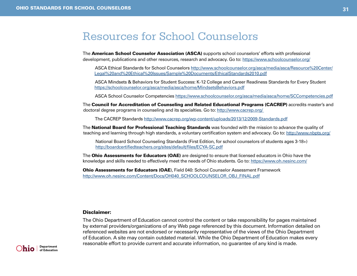### <span id="page-30-0"></span>Resources for School Counselors

The American School Counselor Association (ASCA) supports school counselors' efforts with professional development, publications and other resources, research and advocacy. Go to:<https://www.schoolcounselor.org/>

ASCA Ethical Standards for School Counselors [http://www.schoolcounselor.org/asca/media/asca/Resource%20Center/](http://www.schoolcounselor.org/asca/media/asca/Resource%20Center/Legal%20and%20Ethical%20Issues/Sample%20Documents/EthicalStandards2010.pdf) [Legal%20and%20Ethical%20Issues/Sample%20Documents/EthicalStandards2010.pdf](http://www.schoolcounselor.org/asca/media/asca/Resource%20Center/Legal%20and%20Ethical%20Issues/Sample%20Documents/EthicalStandards2010.pdf)

ASCA Mindsets & Behaviors for Student Success: K-12 College and Career Readiness Standards for Every Student <https://schoolcounselor.org/asca/media/asca/home/MindsetsBehaviors.pdf>

ASCA School Counselor Competencies<https://www.schoolcounselor.org/asca/media/asca/home/SCCompetencies.pdf>

The Council for Accreditation of Counseling and Related Educational Programs (CACREP) accredits master's and doctoral degree programs in counseling and its specialties. Go to:<http://www.cacrep.org>/

The CACREP Standards<http://www.cacrep.org/wp-content/uploads/2013/12/2009-Standards.pdf>

The National Board for Professional Teaching Standards was founded with the mission to advance the quality of teaching and learning through high standards, a voluntary certification system and advocacy. Go to:<http://www.nbpts.org/>

National Board School Counseling Standards (First Edition, for school counselors of students ages 3-18+) <http://boardcertifiedteachers.org/sites/default/files/ECYA-SC.pdf>

The **Ohio Assessments for Educators (OAE)** are designed to ensure that licensed educators in Ohio have the knowledge and skills needed to effectively meet the needs of Ohio students. Go to:<https://www.oh.nesinc.com/>

Ohio Assessments for Educators (OAE), Field 040: School Counselor Assessment Framework [http://www.oh.nesinc.com/Content/Docs/OH040\\_SCHOOLCOUNSELOR\\_OBJ\\_FINAL.pdf](http://www.oh.nesinc.com/Content/Docs/OH040_SCHOOLCOUNSELOR_OBJ_FINAL.pdf)

#### Disclaimer:

The Ohio Department of Education cannot control the content or take responsibility for pages maintained by external providers/organizations of any Web page referenced by this document. Information detailed on referenced websites are not endorsed or necessarily representative of the views of the Ohio Department of Education. A site may contain outdated material. While the Ohio Department of Education makes every reasonable effort to provide current and accurate information, no guarantee of any kind is made.

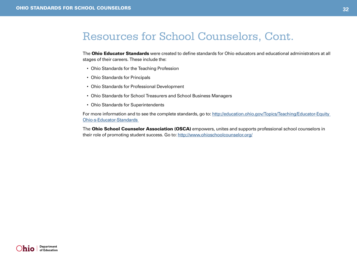### Resources for School Counselors, Cont.

The **Ohio Educator Standards** were created to define standards for Ohio educators and educational administrators at all stages of their careers. These include the:

- • Ohio Standards for the Teaching Profession
- Ohio Standards for Principals
- • Ohio Standards for Professional Development
- Ohio Standards for School Treasurers and School Business Managers
- • Ohio Standards for Superintendents

For more information and to see the complete standards, go to: http://education.ohio.gov/Topics/Teaching/Educator-Equity [Ohio-s-Educator-Standards](http://education.ohio.gov/Topics/Teaching/Educator-Equity/Ohio-s-Educator-Standards) 

The Ohio School Counselor Association (OSCA) empowers, unites and supports professional school counselors in their role of promoting student success. Go to:<http://www.ohioschoolcounselor.org/>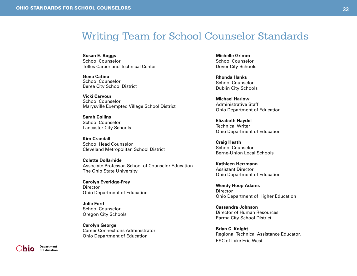### <span id="page-32-0"></span>Writing Team for School Counselor Standards

**Susan E. Boggs** School Counselor Tolles Career and Technical Center

**Gena Catino** School Counselor Berea City School District

**Vicki Carvour** School Counselor Marysville Exempted Village School District

**Sarah Collins** School Counselor Lancaster City Schools

**Kim Crandall** School Head Counselor Cleveland Metropolitan School District

**Colette Dollarhide** Associate Professor, School of Counselor Education The Ohio State University

**Carolyn Everidge-Frey Director** Ohio Department of Education

**Julie Ford** School Counselor Oregon City Schools

**Carolyn George** Career Connections Administrator Ohio Department of Education

**Michelle Grimm** School Counselor Dover City Schools

**Rhonda Hanks** School Counselor Dublin City Schools

**Michael Harlow** Administrative Staff Ohio Department of Education

**Elizabeth Haydel** Technical Writer Ohio Department of Education

**Craig Heath** School Counselor Berne-Union Local Schools

**Kathleen Herrmann** Assistant Director Ohio Department of Education

**Wendy Hoop Adams Director** Ohio Department of Higher Education

**Cassandra Johnson** Director of Human Resources Parma City School District

**Brian C. Knight** Regional Technical Assistance Educator, ESC of Lake Erie West